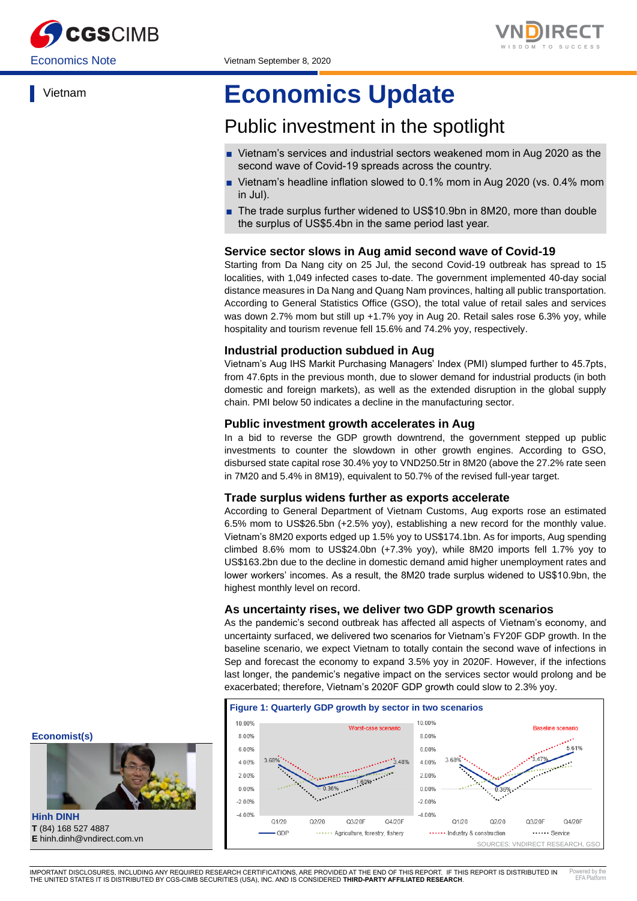

Vietnam



# **Economics Update**

## Public investment in the spotlight

- Vietnam's services and industrial sectors weakened mom in Aug 2020 as the second wave of Covid-19 spreads across the country.
- Vietnam's headline inflation slowed to 0.1% mom in Aug 2020 (vs. 0.4% mom in Jul).
- The trade surplus further widened to US\$10.9bn in 8M20, more than double the surplus of US\$5.4bn in the same period last year.

### **Service sector slows in Aug amid second wave of Covid-19**

Starting from Da Nang city on 25 Jul, the second Covid-19 outbreak has spread to 15 localities, with 1,049 infected cases to-date. The government implemented 40-day social distance measures in Da Nang and Quang Nam provinces, halting all public transportation. According to General Statistics Office (GSO), the total value of retail sales and services was down 2.7% mom but still up +1.7% yoy in Aug 20. Retail sales rose 6.3% yoy, while hospitality and tourism revenue fell 15.6% and 74.2% yoy, respectively.

#### **Industrial production subdued in Aug**

Vietnam's Aug IHS Markit Purchasing Managers' Index (PMI) slumped further to 45.7pts, from 47.6pts in the previous month, due to slower demand for industrial products (in both domestic and foreign markets), as well as the extended disruption in the global supply chain. PMI below 50 indicates a decline in the manufacturing sector.

#### **Public investment growth accelerates in Aug**

In a bid to reverse the GDP growth downtrend, the government stepped up public investments to counter the slowdown in other growth engines. According to GSO, disbursed state capital rose 30.4% yoy to VND250.5tr in 8M20 (above the 27.2% rate seen in 7M20 and 5.4% in 8M19), equivalent to 50.7% of the revised full-year target.

#### **Trade surplus widens further as exports accelerate**

According to General Department of Vietnam Customs, Aug exports rose an estimated 6.5% mom to US\$26.5bn (+2.5% yoy), establishing a new record for the monthly value. Vietnam's 8M20 exports edged up 1.5% yoy to US\$174.1bn. As for imports, Aug spending climbed 8.6% mom to US\$24.0bn (+7.3% yoy), while 8M20 imports fell 1.7% yoy to US\$163.2bn due to the decline in domestic demand amid higher unemployment rates and lower workers' incomes. As a result, the 8M20 trade surplus widened to US\$10.9bn, the highest monthly level on record.

#### **As uncertainty rises, we deliver two GDP growth scenarios**

As the pandemic's second outbreak has affected all aspects of Vietnam's economy, and uncertainty surfaced, we delivered two scenarios for Vietnam's FY20F GDP growth. In the baseline scenario, we expect Vietnam to totally contain the second wave of infections in Sep and forecast the economy to expand 3.5% yoy in 2020F. However, if the infections last longer, the pandemic's negative impact on the services sector would prolong and be exacerbated; therefore, Vietnam's 2020F GDP growth could slow to 2.3% yoy.



**Economist(s)**



**Hinh DINH T** (84) 168 527 4887 **E** hinh.dinh@vndirect.com.vn

IMPORTANT DISCLOSURES, INCLUDING ANY REQUIRED RESEARCH CERTIFICATIONS, ARE PROVIDED AT THE END OF THIS REPORT. IF THIS REPORT IS DISTRIBUTED IN THE UNITED STATES IT IS DISTRIBUTED BY CGS-CIMB SECURITIES (USA), INC. AND IS CONSIDERED **THIRD-PARTY AFFILIATED RESEARCH**. Powered by the EFA Platform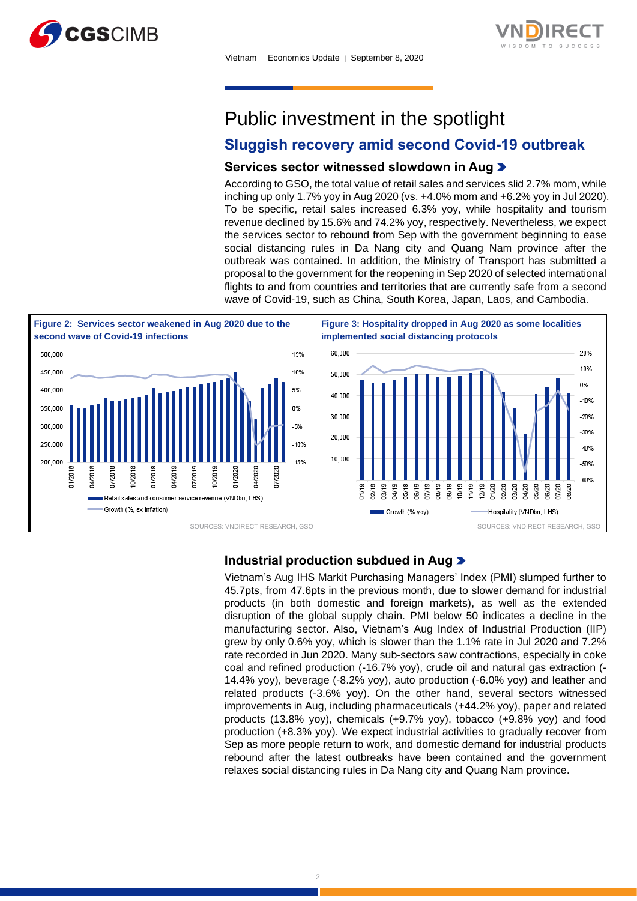



Public investment in the spotlight

## **Sluggish recovery amid second Covid-19 outbreak**

#### **Services sector witnessed slowdown in Aug**

According to GSO, the total value of retail sales and services slid 2.7% mom, while inching up only 1.7% yoy in Aug 2020 (vs. +4.0% mom and +6.2% yoy in Jul 2020). To be specific, retail sales increased 6.3% yoy, while hospitality and tourism revenue declined by 15.6% and 74.2% yoy, respectively. Nevertheless, we expect the services sector to rebound from Sep with the government beginning to ease social distancing rules in Da Nang city and Quang Nam province after the outbreak was contained. In addition, the Ministry of Transport has submitted a proposal to the government for the reopening in Sep 2020 of selected international flights to and from countries and territories that are currently safe from a second wave of Covid-19, such as China, South Korea, Japan, Laos, and Cambodia.



#### **Industrial production subdued in Aug**

Vietnam's Aug IHS Markit Purchasing Managers' Index (PMI) slumped further to 45.7pts, from 47.6pts in the previous month, due to slower demand for industrial products (in both domestic and foreign markets), as well as the extended disruption of the global supply chain. PMI below 50 indicates a decline in the manufacturing sector. Also, Vietnam's Aug Index of Industrial Production (IIP) grew by only 0.6% yoy, which is slower than the 1.1% rate in Jul 2020 and 7.2% rate recorded in Jun 2020. Many sub-sectors saw contractions, especially in coke coal and refined production (-16.7% yoy), crude oil and natural gas extraction (- 14.4% yoy), beverage (-8.2% yoy), auto production (-6.0% yoy) and leather and related products (-3.6% yoy). On the other hand, several sectors witnessed improvements in Aug, including pharmaceuticals (+44.2% yoy), paper and related products (13.8% yoy), chemicals (+9.7% yoy), tobacco (+9.8% yoy) and food production (+8.3% yoy). We expect industrial activities to gradually recover from Sep as more people return to work, and domestic demand for industrial products rebound after the latest outbreaks have been contained and the government relaxes social distancing rules in Da Nang city and Quang Nam province.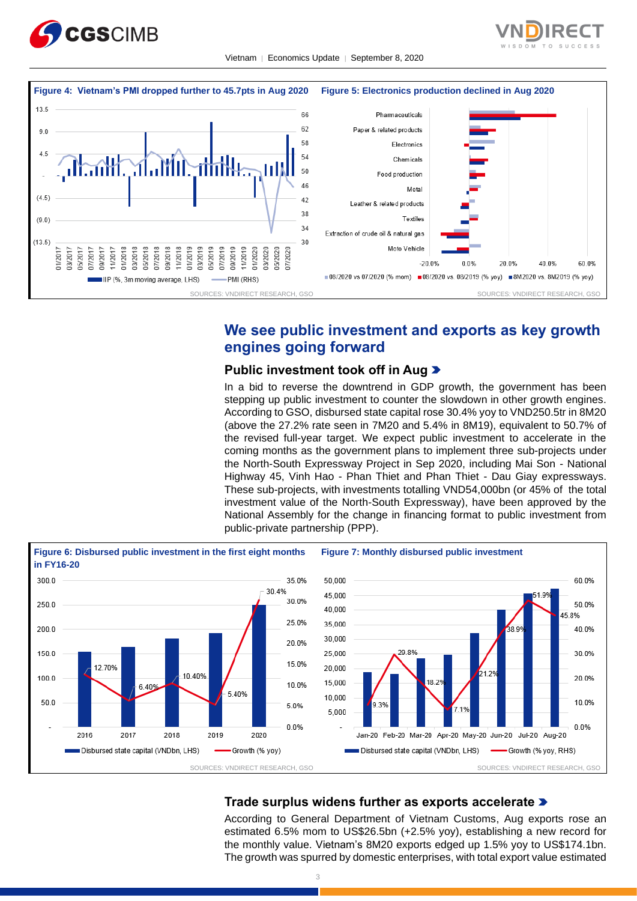





## **We see public investment and exports as key growth engines going forward**

#### **Public investment took off in Aug**

In a bid to reverse the downtrend in GDP growth, the government has been stepping up public investment to counter the slowdown in other growth engines. According to GSO, disbursed state capital rose 30.4% yoy to VND250.5tr in 8M20 (above the 27.2% rate seen in 7M20 and 5.4% in 8M19), equivalent to 50.7% of the revised full-year target. We expect public investment to accelerate in the coming months as the government plans to implement three sub-projects under the North-South Expressway Project in Sep 2020, including Mai Son - National Highway 45, Vinh Hao - Phan Thiet and Phan Thiet - Dau Giay expressways. These sub-projects, with investments totalling VND54,000bn (or 45% of the total investment value of the North-South Expressway), have been approved by the National Assembly for the change in financing format to public investment from public-private partnership (PPP).



## **Trade surplus widens further as exports accelerate**

According to General Department of Vietnam Customs, Aug exports rose an estimated 6.5% mom to US\$26.5bn (+2.5% yoy), establishing a new record for the monthly value. Vietnam's 8M20 exports edged up 1.5% yoy to US\$174.1bn. The growth was spurred by domestic enterprises, with total export value estimated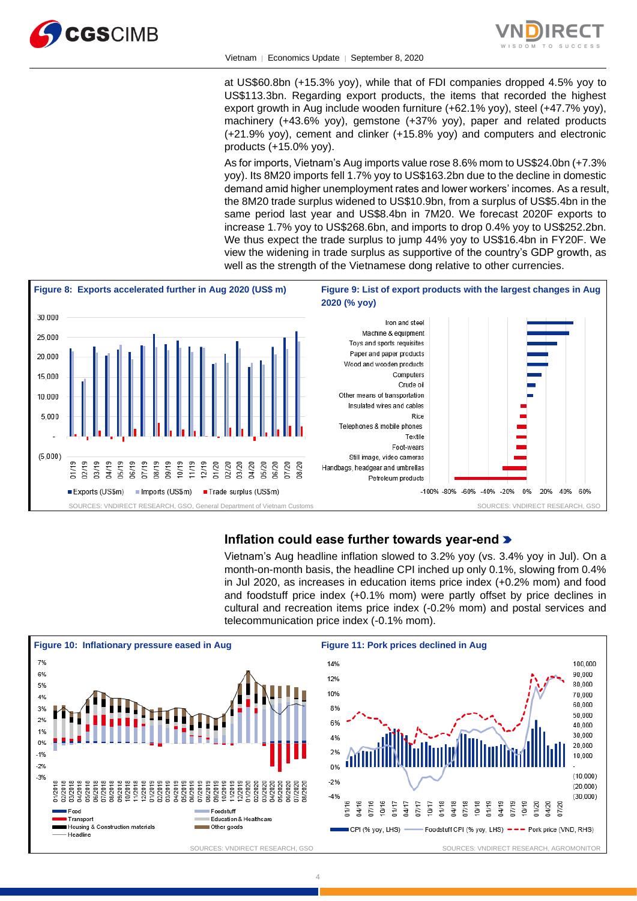



at US\$60.8bn (+15.3% yoy), while that of FDI companies dropped 4.5% yoy to US\$113.3bn. Regarding export products, the items that recorded the highest export growth in Aug include wooden furniture (+62.1% yoy), steel (+47.7% yoy), machinery (+43.6% yoy), gemstone (+37% yoy), paper and related products (+21.9% yoy), cement and clinker (+15.8% yoy) and computers and electronic products (+15.0% yoy).

As for imports, Vietnam's Aug imports value rose 8.6% mom to US\$24.0bn (+7.3% yoy). Its 8M20 imports fell 1.7% yoy to US\$163.2bn due to the decline in domestic demand amid higher unemployment rates and lower workers' incomes. As a result, the 8M20 trade surplus widened to US\$10.9bn, from a surplus of US\$5.4bn in the same period last year and US\$8.4bn in 7M20. We forecast 2020F exports to increase 1.7% yoy to US\$268.6bn, and imports to drop 0.4% yoy to US\$252.2bn. We thus expect the trade surplus to jump 44% yoy to US\$16.4bn in FY20F. We view the widening in trade surplus as supportive of the country's GDP growth, as well as the strength of the Vietnamese dong relative to other currencies.



## **Inflation could ease further towards year-end**

Vietnam's Aug headline inflation slowed to 3.2% yoy (vs. 3.4% yoy in Jul). On a month-on-month basis, the headline CPI inched up only 0.1%, slowing from 0.4% in Jul 2020, as increases in education items price index (+0.2% mom) and food and foodstuff price index (+0.1% mom) were partly offset by price declines in cultural and recreation items price index (-0.2% mom) and postal services and telecommunication price index (-0.1% mom).



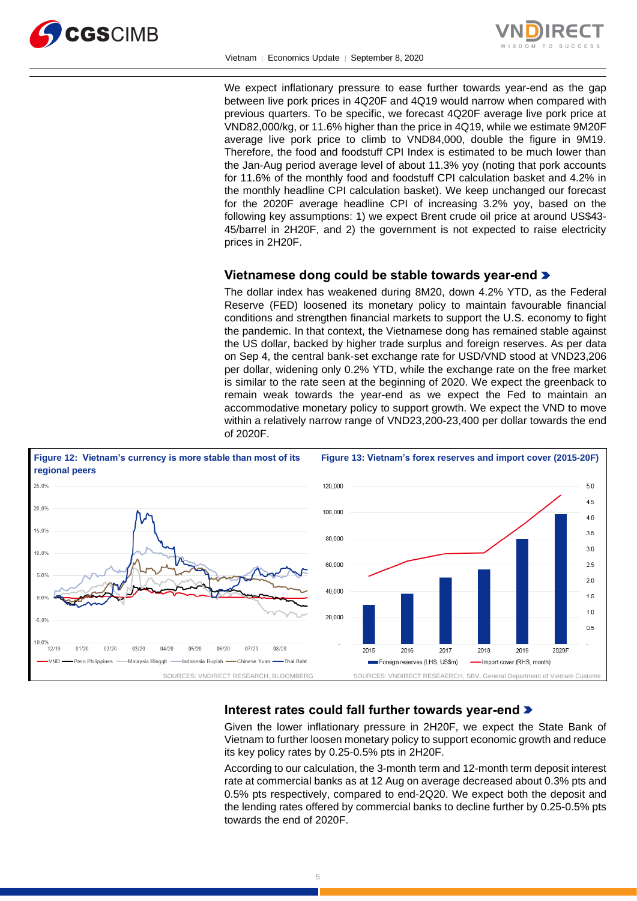



We expect inflationary pressure to ease further towards year-end as the gap between live pork prices in 4Q20F and 4Q19 would narrow when compared with previous quarters. To be specific, we forecast 4Q20F average live pork price at VND82,000/kg, or 11.6% higher than the price in 4Q19, while we estimate 9M20F average live pork price to climb to VND84,000, double the figure in 9M19. Therefore, the food and foodstuff CPI Index is estimated to be much lower than the Jan-Aug period average level of about 11.3% yoy (noting that pork accounts for 11.6% of the monthly food and foodstuff CPI calculation basket and 4.2% in the monthly headline CPI calculation basket). We keep unchanged our forecast for the 2020F average headline CPI of increasing 3.2% yoy, based on the following key assumptions: 1) we expect Brent crude oil price at around US\$43- 45/barrel in 2H20F, and 2) the government is not expected to raise electricity prices in 2H20F.

## **Vietnamese dong could be stable towards year-end**

The dollar index has weakened during 8M20, down 4.2% YTD, as the Federal Reserve (FED) loosened its monetary policy to maintain favourable financial conditions and strengthen financial markets to support the U.S. economy to fight the pandemic. In that context, the Vietnamese dong has remained stable against the US dollar, backed by higher trade surplus and foreign reserves. As per data on Sep 4, the central bank-set exchange rate for USD/VND stood at VND23,206 per dollar, widening only 0.2% YTD, while the exchange rate on the free market is similar to the rate seen at the beginning of 2020. We expect the greenback to remain weak towards the year-end as we expect the Fed to maintain an accommodative monetary policy to support growth. We expect the VND to move within a relatively narrow range of VND23,200-23,400 per dollar towards the end of 2020F.



## **Interest rates could fall further towards year-end**

Given the lower inflationary pressure in 2H20F, we expect the State Bank of Vietnam to further loosen monetary policy to support economic growth and reduce its key policy rates by 0.25-0.5% pts in 2H20F.

According to our calculation, the 3-month term and 12-month term deposit interest rate at commercial banks as at 12 Aug on average decreased about 0.3% pts and 0.5% pts respectively, compared to end-2Q20. We expect both the deposit and the lending rates offered by commercial banks to decline further by 0.25-0.5% pts towards the end of 2020F.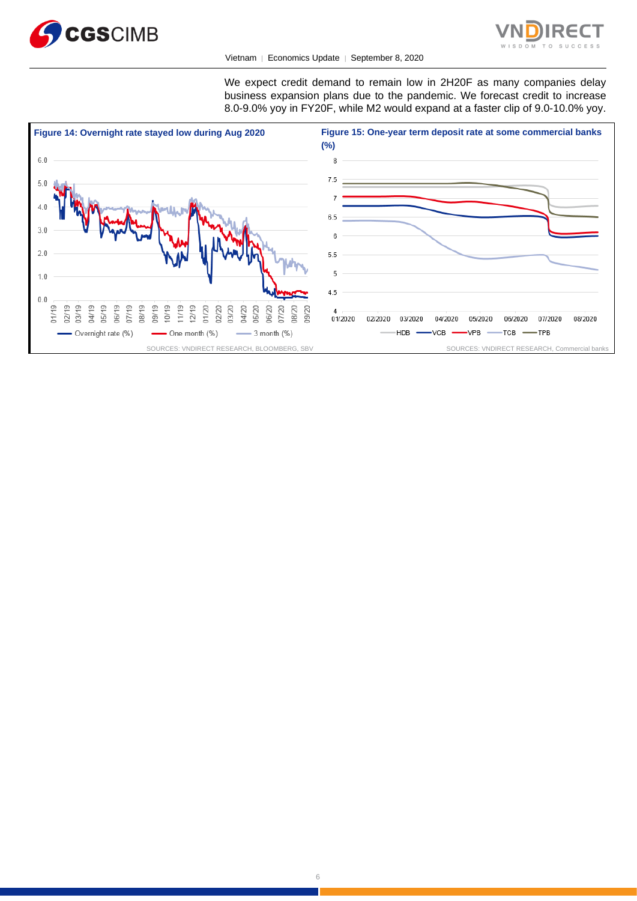



We expect credit demand to remain low in 2H20F as many companies delay business expansion plans due to the pandemic. We forecast credit to increase 8.0-9.0% yoy in FY20F, while M2 would expand at a faster clip of 9.0-10.0% yoy.

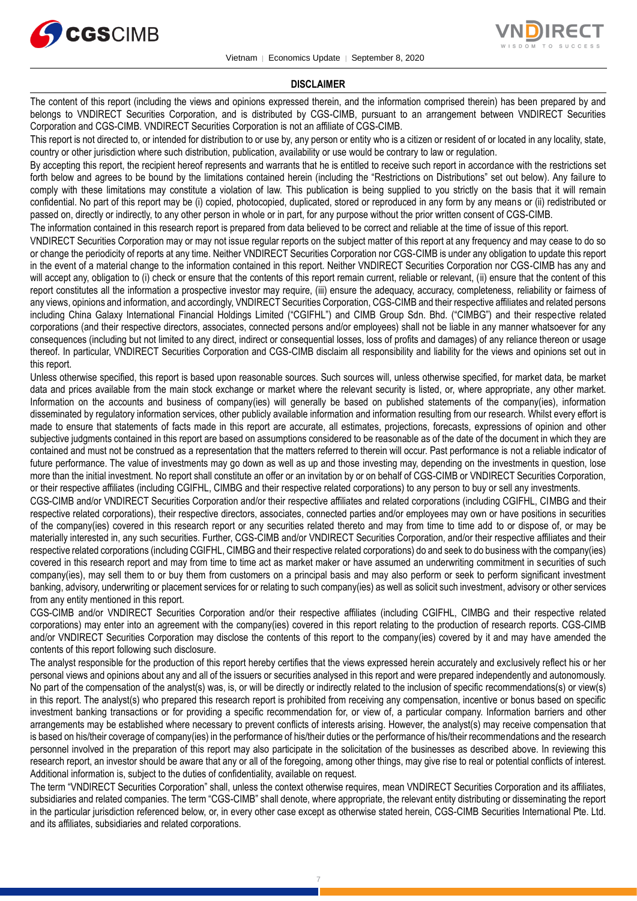



#### **DISCLAIMER**

The content of this report (including the views and opinions expressed therein, and the information comprised therein) has been prepared by and belongs to VNDIRECT Securities Corporation, and is distributed by CGS-CIMB, pursuant to an arrangement between VNDIRECT Securities Corporation and CGS-CIMB. VNDIRECT Securities Corporation is not an affiliate of CGS-CIMB.

This report is not directed to, or intended for distribution to or use by, any person or entity who is a citizen or resident of or located in any locality, state, country or other jurisdiction where such distribution, publication, availability or use would be contrary to law or regulation.

By accepting this report, the recipient hereof represents and warrants that he is entitled to receive such report in accordance with the restrictions set forth below and agrees to be bound by the limitations contained herein (including the "Restrictions on Distributions" set out below). Any failure to comply with these limitations may constitute a violation of law. This publication is being supplied to you strictly on the basis that it will remain confidential. No part of this report may be (i) copied, photocopied, duplicated, stored or reproduced in any form by any means or (ii) redistributed or passed on, directly or indirectly, to any other person in whole or in part, for any purpose without the prior written consent of CGS-CIMB.

The information contained in this research report is prepared from data believed to be correct and reliable at the time of issue of this report.

VNDIRECT Securities Corporation may or may not issue regular reports on the subject matter of this report at any frequency and may cease to do so or change the periodicity of reports at any time. Neither VNDIRECT Securities Corporation nor CGS-CIMB is under any obligation to update this report in the event of a material change to the information contained in this report. Neither VNDIRECT Securities Corporation nor CGS-CIMB has any and will accept any, obligation to (i) check or ensure that the contents of this report remain current, reliable or relevant, (ii) ensure that the content of this report constitutes all the information a prospective investor may require, (iii) ensure the adequacy, accuracy, completeness, reliability or fairness of any views, opinions and information, and accordingly, VNDIRECT Securities Corporation, CGS-CIMB and their respective affiliates and related persons including China Galaxy International Financial Holdings Limited ("CGIFHL") and CIMB Group Sdn. Bhd. ("CIMBG") and their respective related corporations (and their respective directors, associates, connected persons and/or employees) shall not be liable in any manner whatsoever for any consequences (including but not limited to any direct, indirect or consequential losses, loss of profits and damages) of any reliance thereon or usage thereof. In particular, VNDIRECT Securities Corporation and CGS-CIMB disclaim all responsibility and liability for the views and opinions set out in this report.

Unless otherwise specified, this report is based upon reasonable sources. Such sources will, unless otherwise specified, for market data, be market data and prices available from the main stock exchange or market where the relevant security is listed, or, where appropriate, any other market. Information on the accounts and business of company(ies) will generally be based on published statements of the company(ies), information disseminated by regulatory information services, other publicly available information and information resulting from our research. Whilst every effort is made to ensure that statements of facts made in this report are accurate, all estimates, projections, forecasts, expressions of opinion and other subjective judgments contained in this report are based on assumptions considered to be reasonable as of the date of the document in which they are contained and must not be construed as a representation that the matters referred to therein will occur. Past performance is not a reliable indicator of future performance. The value of investments may go down as well as up and those investing may, depending on the investments in question, lose more than the initial investment. No report shall constitute an offer or an invitation by or on behalf of CGS-CIMB or VNDIRECT Securities Corporation, or their respective affiliates (including CGIFHL, CIMBG and their respective related corporations) to any person to buy or sell any investments.

CGS-CIMB and/or VNDIRECT Securities Corporation and/or their respective affiliates and related corporations (including CGIFHL, CIMBG and their respective related corporations), their respective directors, associates, connected parties and/or employees may own or have positions in securities of the company(ies) covered in this research report or any securities related thereto and may from time to time add to or dispose of, or may be materially interested in, any such securities. Further, CGS-CIMB and/or VNDIRECT Securities Corporation, and/or their respective affiliates and their respective related corporations (including CGIFHL, CIMBG and their respective related corporations) do and seek to do business with the company(ies) covered in this research report and may from time to time act as market maker or have assumed an underwriting commitment in securities of such company(ies), may sell them to or buy them from customers on a principal basis and may also perform or seek to perform significant investment banking, advisory, underwriting or placement services for or relating to such company(ies) as well as solicit such investment, advisory or other services from any entity mentioned in this report.

CGS-CIMB and/or VNDIRECT Securities Corporation and/or their respective affiliates (including CGIFHL, CIMBG and their respective related corporations) may enter into an agreement with the company(ies) covered in this report relating to the production of research reports. CGS-CIMB and/or VNDIRECT Securities Corporation may disclose the contents of this report to the company(ies) covered by it and may have amended the contents of this report following such disclosure.

The analyst responsible for the production of this report hereby certifies that the views expressed herein accurately and exclusively reflect his or her personal views and opinions about any and all of the issuers or securities analysed in this report and were prepared independently and autonomously. No part of the compensation of the analyst(s) was, is, or will be directly or indirectly related to the inclusion of specific recommendations(s) or view(s) in this report. The analyst(s) who prepared this research report is prohibited from receiving any compensation, incentive or bonus based on specific investment banking transactions or for providing a specific recommendation for, or view of, a particular company. Information barriers and other arrangements may be established where necessary to prevent conflicts of interests arising. However, the analyst(s) may receive compensation that is based on his/their coverage of company(ies) in the performance of his/their duties or the performance of his/their recommendations and the research personnel involved in the preparation of this report may also participate in the solicitation of the businesses as described above. In reviewing this research report, an investor should be aware that any or all of the foregoing, among other things, may give rise to real or potential conflicts of interest. Additional information is, subject to the duties of confidentiality, available on request.

The term "VNDIRECT Securities Corporation" shall, unless the context otherwise requires, mean VNDIRECT Securities Corporation and its affiliates, subsidiaries and related companies. The term "CGS-CIMB" shall denote, where appropriate, the relevant entity distributing or disseminating the report in the particular jurisdiction referenced below, or, in every other case except as otherwise stated herein, CGS-CIMB Securities International Pte. Ltd. and its affiliates, subsidiaries and related corporations.

7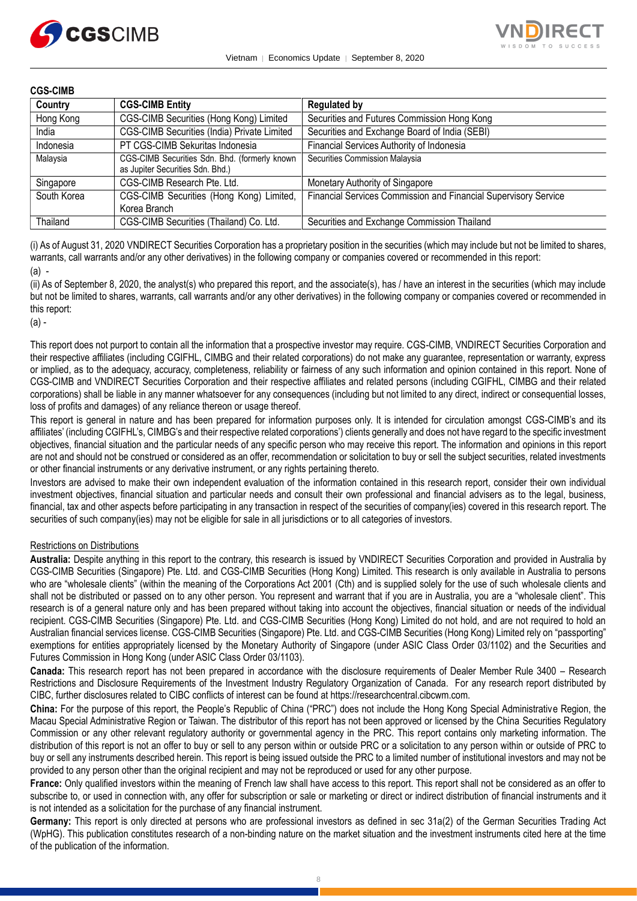



#### **CGS-CIMB**

| Country     | <b>CGS-CIMB Entity</b>                                                            | <b>Regulated by</b>                                             |
|-------------|-----------------------------------------------------------------------------------|-----------------------------------------------------------------|
| Hong Kong   | CGS-CIMB Securities (Hong Kong) Limited                                           | Securities and Futures Commission Hong Kong                     |
| India       | CGS-CIMB Securities (India) Private Limited                                       | Securities and Exchange Board of India (SEBI)                   |
| Indonesia   | PT CGS-CIMB Sekuritas Indonesia                                                   | Financial Services Authority of Indonesia                       |
| Malaysia    | CGS-CIMB Securities Sdn. Bhd. (formerly known<br>as Jupiter Securities Sdn. Bhd.) | Securities Commission Malaysia                                  |
| Singapore   | CGS-CIMB Research Pte. Ltd.                                                       | Monetary Authority of Singapore                                 |
| South Korea | CGS-CIMB Securities (Hong Kong) Limited,<br>Korea Branch                          | Financial Services Commission and Financial Supervisory Service |
| Thailand    | CGS-CIMB Securities (Thailand) Co. Ltd.                                           | Securities and Exchange Commission Thailand                     |

(i) As of August 31, 2020 VNDIRECT Securities Corporation has a proprietary position in the securities (which may include but not be limited to shares, warrants, call warrants and/or any other derivatives) in the following company or companies covered or recommended in this report: (a) -

(ii) As of September 8, 2020, the analyst(s) who prepared this report, and the associate(s), has / have an interest in the securities (which may include but not be limited to shares, warrants, call warrants and/or any other derivatives) in the following company or companies covered or recommended in this report:

(a) -

This report does not purport to contain all the information that a prospective investor may require. CGS-CIMB, VNDIRECT Securities Corporation and their respective affiliates (including CGIFHL, CIMBG and their related corporations) do not make any guarantee, representation or warranty, express or implied, as to the adequacy, accuracy, completeness, reliability or fairness of any such information and opinion contained in this report. None of CGS-CIMB and VNDIRECT Securities Corporation and their respective affiliates and related persons (including CGIFHL, CIMBG and their related corporations) shall be liable in any manner whatsoever for any consequences (including but not limited to any direct, indirect or consequential losses, loss of profits and damages) of any reliance thereon or usage thereof.

This report is general in nature and has been prepared for information purposes only. It is intended for circulation amongst CGS-CIMB's and its affiliates' (including CGIFHL's, CIMBG's and their respective related corporations') clients generally and does not have regard to the specific investment objectives, financial situation and the particular needs of any specific person who may receive this report. The information and opinions in this report are not and should not be construed or considered as an offer, recommendation or solicitation to buy or sell the subject securities, related investments or other financial instruments or any derivative instrument, or any rights pertaining thereto.

Investors are advised to make their own independent evaluation of the information contained in this research report, consider their own individual investment objectives, financial situation and particular needs and consult their own professional and financial advisers as to the legal, business, financial, tax and other aspects before participating in any transaction in respect of the securities of company(ies) covered in this research report. The securities of such company(ies) may not be eligible for sale in all jurisdictions or to all categories of investors.

#### Restrictions on Distributions

**Australia:** Despite anything in this report to the contrary, this research is issued by VNDIRECT Securities Corporation and provided in Australia by CGS-CIMB Securities (Singapore) Pte. Ltd. and CGS-CIMB Securities (Hong Kong) Limited. This research is only available in Australia to persons who are "wholesale clients" (within the meaning of the Corporations Act 2001 (Cth) and is supplied solely for the use of such wholesale clients and shall not be distributed or passed on to any other person. You represent and warrant that if you are in Australia, you are a "wholesale client". This research is of a general nature only and has been prepared without taking into account the objectives, financial situation or needs of the individual recipient. CGS-CIMB Securities (Singapore) Pte. Ltd. and CGS-CIMB Securities (Hong Kong) Limited do not hold, and are not required to hold an Australian financial services license. CGS-CIMB Securities (Singapore) Pte. Ltd. and CGS-CIMB Securities (Hong Kong) Limited rely on "passporting" exemptions for entities appropriately licensed by the Monetary Authority of Singapore (under ASIC Class Order 03/1102) and the Securities and Futures Commission in Hong Kong (under ASIC Class Order 03/1103).

**Canada:** This research report has not been prepared in accordance with the disclosure requirements of Dealer Member Rule 3400 – Research Restrictions and Disclosure Requirements of the Investment Industry Regulatory Organization of Canada. For any research report distributed by CIBC, further disclosures related to CIBC conflicts of interest can be found at https://researchcentral.cibcwm.com.

**China:** For the purpose of this report, the People's Republic of China ("PRC") does not include the Hong Kong Special Administrative Region, the Macau Special Administrative Region or Taiwan. The distributor of this report has not been approved or licensed by the China Securities Regulatory Commission or any other relevant regulatory authority or governmental agency in the PRC. This report contains only marketing information. The distribution of this report is not an offer to buy or sell to any person within or outside PRC or a solicitation to any person within or outside of PRC to buy or sell any instruments described herein. This report is being issued outside the PRC to a limited number of institutional investors and may not be provided to any person other than the original recipient and may not be reproduced or used for any other purpose.

**France:** Only qualified investors within the meaning of French law shall have access to this report. This report shall not be considered as an offer to subscribe to, or used in connection with, any offer for subscription or sale or marketing or direct or indirect distribution of financial instruments and it is not intended as a solicitation for the purchase of any financial instrument.

**Germany:** This report is only directed at persons who are professional investors as defined in sec 31a(2) of the German Securities Trading Act (WpHG). This publication constitutes research of a non-binding nature on the market situation and the investment instruments cited here at the time of the publication of the information.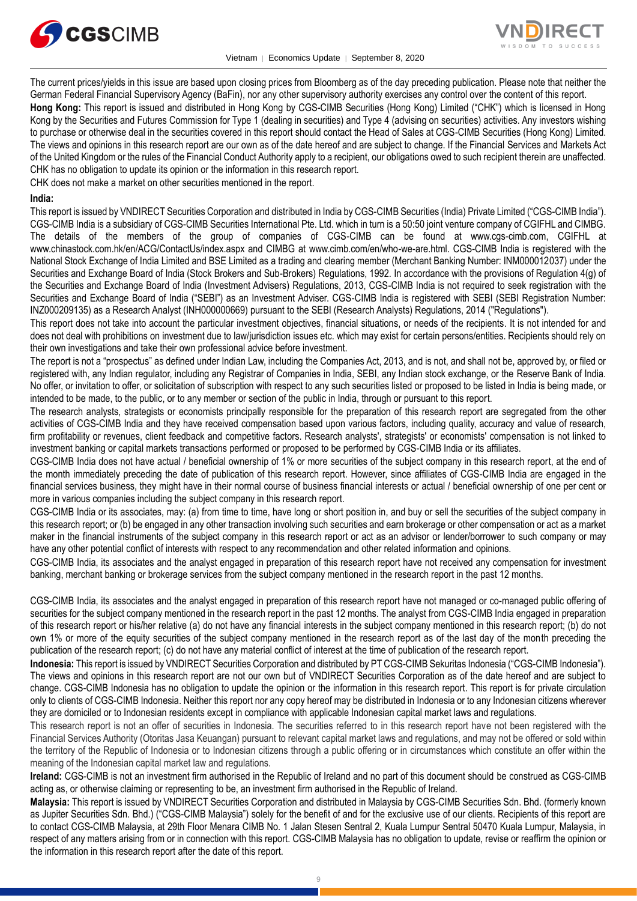



The current prices/yields in this issue are based upon closing prices from Bloomberg as of the day preceding publication. Please note that neither the German Federal Financial Supervisory Agency (BaFin), nor any other supervisory authority exercises any control over the content of this report.

**Hong Kong:** This report is issued and distributed in Hong Kong by CGS-CIMB Securities (Hong Kong) Limited ("CHK") which is licensed in Hong Kong by the Securities and Futures Commission for Type 1 (dealing in securities) and Type 4 (advising on securities) activities. Any investors wishing to purchase or otherwise deal in the securities covered in this report should contact the Head of Sales at CGS-CIMB Securities (Hong Kong) Limited. The views and opinions in this research report are our own as of the date hereof and are subject to change. If the Financial Services and Markets Act of the United Kingdom or the rules of the Financial Conduct Authority apply to a recipient, our obligations owed to such recipient therein are unaffected. CHK has no obligation to update its opinion or the information in this research report.

CHK does not make a market on other securities mentioned in the report.

#### **India:**

This report is issued by VNDIRECT Securities Corporation and distributed in India by CGS-CIMB Securities (India) Private Limited ("CGS-CIMB India"). CGS-CIMB India is a subsidiary of CGS-CIMB Securities International Pte. Ltd. which in turn is a 50:50 joint venture company of CGIFHL and CIMBG. The details of the members of the group of companies of CGS-CIMB can be found at www.cgs-cimb.com, CGIFHL at www.chinastock.com.hk/en/ACG/ContactUs/index.aspx and CIMBG at www.cimb.com/en/who-we-are.html. CGS-CIMB India is registered with the National Stock Exchange of India Limited and BSE Limited as a trading and clearing member (Merchant Banking Number: INM000012037) under the Securities and Exchange Board of India (Stock Brokers and Sub-Brokers) Regulations, 1992. In accordance with the provisions of Regulation 4(g) of the Securities and Exchange Board of India (Investment Advisers) Regulations, 2013, CGS-CIMB India is not required to seek registration with the Securities and Exchange Board of India ("SEBI") as an Investment Adviser. CGS-CIMB India is registered with SEBI (SEBI Registration Number: INZ000209135) as a Research Analyst (INH000000669) pursuant to the SEBI (Research Analysts) Regulations, 2014 ("Regulations").

This report does not take into account the particular investment objectives, financial situations, or needs of the recipients. It is not intended for and does not deal with prohibitions on investment due to law/jurisdiction issues etc. which may exist for certain persons/entities. Recipients should rely on their own investigations and take their own professional advice before investment.

The report is not a "prospectus" as defined under Indian Law, including the Companies Act, 2013, and is not, and shall not be, approved by, or filed or registered with, any Indian regulator, including any Registrar of Companies in India, SEBI, any Indian stock exchange, or the Reserve Bank of India. No offer, or invitation to offer, or solicitation of subscription with respect to any such securities listed or proposed to be listed in India is being made, or intended to be made, to the public, or to any member or section of the public in India, through or pursuant to this report.

The research analysts, strategists or economists principally responsible for the preparation of this research report are segregated from the other activities of CGS-CIMB India and they have received compensation based upon various factors, including quality, accuracy and value of research, firm profitability or revenues, client feedback and competitive factors. Research analysts', strategists' or economists' compensation is not linked to investment banking or capital markets transactions performed or proposed to be performed by CGS-CIMB India or its affiliates.

CGS-CIMB India does not have actual / beneficial ownership of 1% or more securities of the subject company in this research report, at the end of the month immediately preceding the date of publication of this research report. However, since affiliates of CGS-CIMB India are engaged in the financial services business, they might have in their normal course of business financial interests or actual / beneficial ownership of one per cent or more in various companies including the subject company in this research report.

CGS-CIMB India or its associates, may: (a) from time to time, have long or short position in, and buy or sell the securities of the subject company in this research report; or (b) be engaged in any other transaction involving such securities and earn brokerage or other compensation or act as a market maker in the financial instruments of the subject company in this research report or act as an advisor or lender/borrower to such company or may have any other potential conflict of interests with respect to any recommendation and other related information and opinions.

CGS-CIMB India, its associates and the analyst engaged in preparation of this research report have not received any compensation for investment banking, merchant banking or brokerage services from the subject company mentioned in the research report in the past 12 months.

CGS-CIMB India, its associates and the analyst engaged in preparation of this research report have not managed or co-managed public offering of securities for the subject company mentioned in the research report in the past 12 months. The analyst from CGS-CIMB India engaged in preparation of this research report or his/her relative (a) do not have any financial interests in the subject company mentioned in this research report; (b) do not own 1% or more of the equity securities of the subject company mentioned in the research report as of the last day of the month preceding the publication of the research report; (c) do not have any material conflict of interest at the time of publication of the research report.

**Indonesia:** This report is issued by VNDIRECT Securities Corporation and distributed by PT CGS-CIMB Sekuritas Indonesia ("CGS-CIMB Indonesia"). The views and opinions in this research report are not our own but of VNDIRECT Securities Corporation as of the date hereof and are subject to change. CGS-CIMB Indonesia has no obligation to update the opinion or the information in this research report. This report is for private circulation only to clients of CGS-CIMB Indonesia. Neither this report nor any copy hereof may be distributed in Indonesia or to any Indonesian citizens wherever they are domiciled or to Indonesian residents except in compliance with applicable Indonesian capital market laws and regulations.

This research report is not an offer of securities in Indonesia. The securities referred to in this research report have not been registered with the Financial Services Authority (Otoritas Jasa Keuangan) pursuant to relevant capital market laws and regulations, and may not be offered or sold within the territory of the Republic of Indonesia or to Indonesian citizens through a public offering or in circumstances which constitute an offer within the meaning of the Indonesian capital market law and regulations.

**Ireland:** CGS-CIMB is not an investment firm authorised in the Republic of Ireland and no part of this document should be construed as CGS-CIMB acting as, or otherwise claiming or representing to be, an investment firm authorised in the Republic of Ireland.

**Malaysia:** This report is issued by VNDIRECT Securities Corporation and distributed in Malaysia by CGS-CIMB Securities Sdn. Bhd. (formerly known as Jupiter Securities Sdn. Bhd.) ("CGS-CIMB Malaysia") solely for the benefit of and for the exclusive use of our clients. Recipients of this report are to contact CGS-CIMB Malaysia, at 29th Floor Menara CIMB No. 1 Jalan Stesen Sentral 2, Kuala Lumpur Sentral 50470 Kuala Lumpur, Malaysia, in respect of any matters arising from or in connection with this report. CGS-CIMB Malaysia has no obligation to update, revise or reaffirm the opinion or the information in this research report after the date of this report.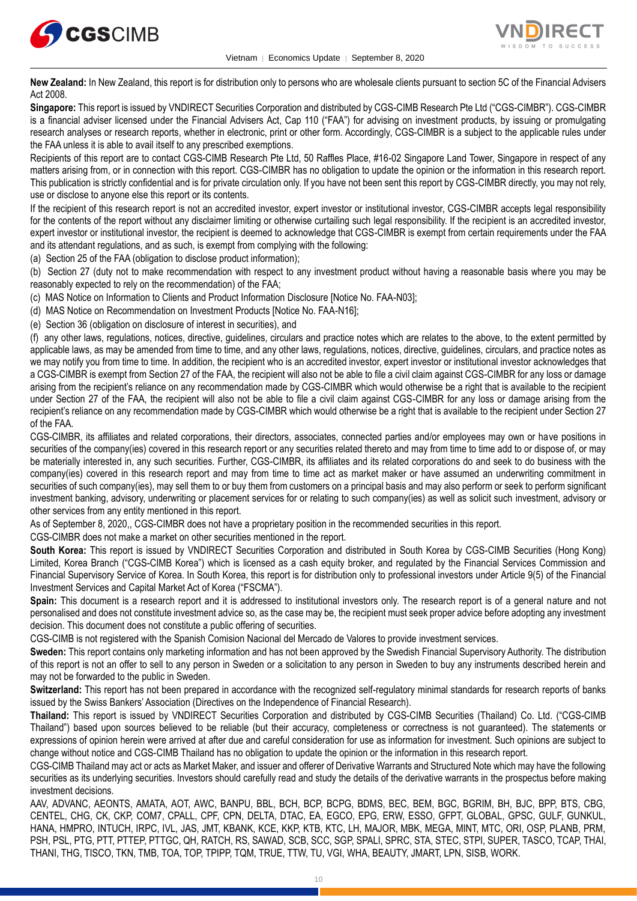



**New Zealand:** In New Zealand, this report is for distribution only to persons who are wholesale clients pursuant to section 5C of the Financial Advisers Act 2008.

**Singapore:** This report is issued by VNDIRECT Securities Corporation and distributed by CGS-CIMB Research Pte Ltd ("CGS-CIMBR"). CGS-CIMBR is a financial adviser licensed under the Financial Advisers Act, Cap 110 ("FAA") for advising on investment products, by issuing or promulgating research analyses or research reports, whether in electronic, print or other form. Accordingly, CGS-CIMBR is a subject to the applicable rules under the FAA unless it is able to avail itself to any prescribed exemptions.

Recipients of this report are to contact CGS-CIMB Research Pte Ltd, 50 Raffles Place, #16-02 Singapore Land Tower, Singapore in respect of any matters arising from, or in connection with this report. CGS-CIMBR has no obligation to update the opinion or the information in this research report. This publication is strictly confidential and is for private circulation only. If you have not been sent this report by CGS-CIMBR directly, you may not rely, use or disclose to anyone else this report or its contents.

If the recipient of this research report is not an accredited investor, expert investor or institutional investor, CGS-CIMBR accepts legal responsibility for the contents of the report without any disclaimer limiting or otherwise curtailing such legal responsibility. If the recipient is an accredited investor, expert investor or institutional investor, the recipient is deemed to acknowledge that CGS-CIMBR is exempt from certain requirements under the FAA and its attendant regulations, and as such, is exempt from complying with the following:

(a) Section 25 of the FAA (obligation to disclose product information);

(b) Section 27 (duty not to make recommendation with respect to any investment product without having a reasonable basis where you may be reasonably expected to rely on the recommendation) of the FAA;

(c) MAS Notice on Information to Clients and Product Information Disclosure [Notice No. FAA-N03];

(d) MAS Notice on Recommendation on Investment Products [Notice No. FAA-N16];

(e) Section 36 (obligation on disclosure of interest in securities), and

(f) any other laws, regulations, notices, directive, guidelines, circulars and practice notes which are relates to the above, to the extent permitted by applicable laws, as may be amended from time to time, and any other laws, regulations, notices, directive, guidelines, circulars, and practice notes as we may notify you from time to time. In addition, the recipient who is an accredited investor, expert investor or institutional investor acknowledges that a CGS-CIMBR is exempt from Section 27 of the FAA, the recipient will also not be able to file a civil claim against CGS-CIMBR for any loss or damage arising from the recipient's reliance on any recommendation made by CGS-CIMBR which would otherwise be a right that is available to the recipient under Section 27 of the FAA, the recipient will also not be able to file a civil claim against CGS-CIMBR for any loss or damage arising from the recipient's reliance on any recommendation made by CGS-CIMBR which would otherwise be a right that is available to the recipient under Section 27 of the FAA.

CGS-CIMBR, its affiliates and related corporations, their directors, associates, connected parties and/or employees may own or have positions in securities of the company(ies) covered in this research report or any securities related thereto and may from time to time add to or dispose of, or may be materially interested in, any such securities. Further, CGS-CIMBR, its affiliates and its related corporations do and seek to do business with the company(ies) covered in this research report and may from time to time act as market maker or have assumed an underwriting commitment in securities of such company(ies), may sell them to or buy them from customers on a principal basis and may also perform or seek to perform significant investment banking, advisory, underwriting or placement services for or relating to such company(ies) as well as solicit such investment, advisory or other services from any entity mentioned in this report.

As of September 8, 2020,, CGS-CIMBR does not have a proprietary position in the recommended securities in this report.

CGS-CIMBR does not make a market on other securities mentioned in the report.

**South Korea:** This report is issued by VNDIRECT Securities Corporation and distributed in South Korea by CGS-CIMB Securities (Hong Kong) Limited, Korea Branch ("CGS-CIMB Korea") which is licensed as a cash equity broker, and regulated by the Financial Services Commission and Financial Supervisory Service of Korea. In South Korea, this report is for distribution only to professional investors under Article 9(5) of the Financial Investment Services and Capital Market Act of Korea ("FSCMA").

**Spain:** This document is a research report and it is addressed to institutional investors only. The research report is of a general nature and not personalised and does not constitute investment advice so, as the case may be, the recipient must seek proper advice before adopting any investment decision. This document does not constitute a public offering of securities.

CGS-CIMB is not registered with the Spanish Comision Nacional del Mercado de Valores to provide investment services.

**Sweden:** This report contains only marketing information and has not been approved by the Swedish Financial Supervisory Authority. The distribution of this report is not an offer to sell to any person in Sweden or a solicitation to any person in Sweden to buy any instruments described herein and may not be forwarded to the public in Sweden.

**Switzerland:** This report has not been prepared in accordance with the recognized self-regulatory minimal standards for research reports of banks issued by the Swiss Bankers' Association (Directives on the Independence of Financial Research).

**Thailand:** This report is issued by VNDIRECT Securities Corporation and distributed by CGS-CIMB Securities (Thailand) Co. Ltd. ("CGS-CIMB Thailand") based upon sources believed to be reliable (but their accuracy, completeness or correctness is not guaranteed). The statements or expressions of opinion herein were arrived at after due and careful consideration for use as information for investment. Such opinions are subject to change without notice and CGS-CIMB Thailand has no obligation to update the opinion or the information in this research report.

CGS-CIMB Thailand may act or acts as Market Maker, and issuer and offerer of Derivative Warrants and Structured Note which may have the following securities as its underlying securities. Investors should carefully read and study the details of the derivative warrants in the prospectus before making investment decisions.

AAV, ADVANC, AEONTS, AMATA, AOT, AWC, BANPU, BBL, BCH, BCP, BCPG, BDMS, BEC, BEM, BGC, BGRIM, BH, BJC, BPP, BTS, CBG, CENTEL, CHG, CK, CKP, COM7, CPALL, CPF, CPN, DELTA, DTAC, EA, EGCO, EPG, ERW, ESSO, GFPT, GLOBAL, GPSC, GULF, GUNKUL, HANA, HMPRO, INTUCH, IRPC, IVL, JAS, JMT, KBANK, KCE, KKP, KTB, KTC, LH, MAJOR, MBK, MEGA, MINT, MTC, ORI, OSP, PLANB, PRM, PSH, PSL, PTG, PTT, PTTEP, PTTGC, QH, RATCH, RS, SAWAD, SCB, SCC, SGP, SPALI, SPRC, STA, STEC, STPI, SUPER, TASCO, TCAP, THAI, THANI, THG, TISCO, TKN, TMB, TOA, TOP, TPIPP, TQM, TRUE, TTW, TU, VGI, WHA, BEAUTY, JMART, LPN, SISB, WORK.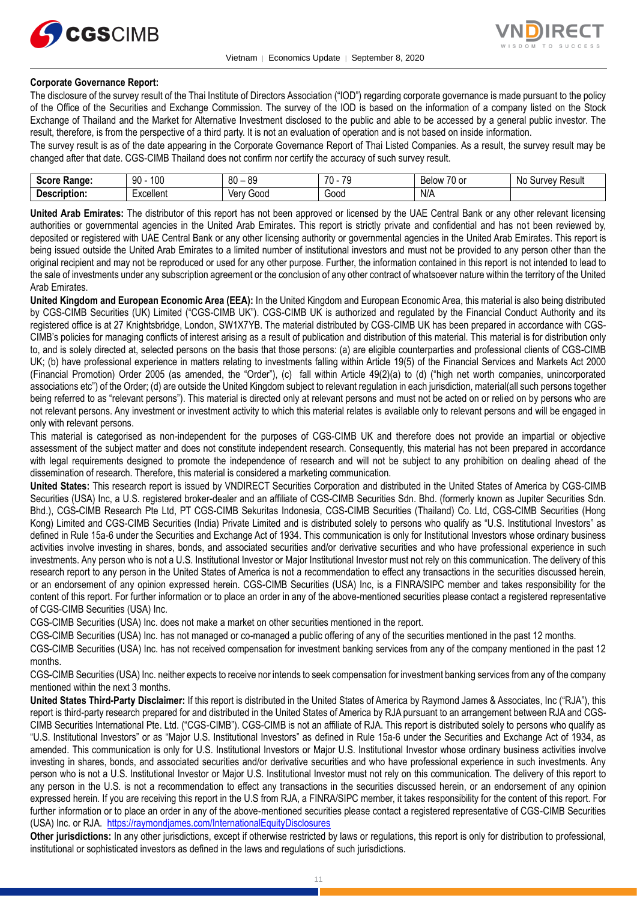



#### **Corporate Governance Report:**

The disclosure of the survey result of the Thai Institute of Directors Association ("IOD") regarding corporate governance is made pursuant to the policy of the Office of the Securities and Exchange Commission. The survey of the IOD is based on the information of a company listed on the Stock Exchange of Thailand and the Market for Alternative Investment disclosed to the public and able to be accessed by a general public investor. The result, therefore, is from the perspective of a third party. It is not an evaluation of operation and is not based on inside information.

The survey result is as of the date appearing in the Corporate Governance Report of Thai Listed Companies. As a result, the survey result may be changed after that date. CGS-CIMB Thailand does not confirm nor certify the accuracy of such survey result.

| <b>Score</b><br>Range.                 | 100<br>90                                  | 80<br>0C<br>೦ಜ<br>$\sim$ $\sim$ | 70<br>$\overline{\phantom{a}}$<br><br>. . | $\sim$ $\sim$<br><b>Below</b><br>. .<br><b>UU</b> | N0<br>Result<br><b>IIIVAV</b><br>ΟU |
|----------------------------------------|--------------------------------------------|---------------------------------|-------------------------------------------|---------------------------------------------------|-------------------------------------|
| -<br>Descrip'<br>----<br>ribtion:<br>. | $\overline{\phantom{0}}$<br>≞xcellent<br>. | Ven<br>Good                     | Good                                      | N/A                                               |                                     |

**United Arab Emirates:** The distributor of this report has not been approved or licensed by the UAE Central Bank or any other relevant licensing authorities or governmental agencies in the United Arab Emirates. This report is strictly private and confidential and has not been reviewed by, deposited or registered with UAE Central Bank or any other licensing authority or governmental agencies in the United Arab Emirates. This report is being issued outside the United Arab Emirates to a limited number of institutional investors and must not be provided to any person other than the original recipient and may not be reproduced or used for any other purpose. Further, the information contained in this report is not intended to lead to the sale of investments under any subscription agreement or the conclusion of any other contract of whatsoever nature within the territory of the United Arab Emirates.

**United Kingdom and European Economic Area (EEA):** In the United Kingdom and European Economic Area, this material is also being distributed by CGS-CIMB Securities (UK) Limited ("CGS-CIMB UK"). CGS-CIMB UK is authorized and regulated by the Financial Conduct Authority and its registered office is at 27 Knightsbridge, London, SW1X7YB. The material distributed by CGS-CIMB UK has been prepared in accordance with CGS-CIMB's policies for managing conflicts of interest arising as a result of publication and distribution of this material. This material is for distribution only to, and is solely directed at, selected persons on the basis that those persons: (a) are eligible counterparties and professional clients of CGS-CIMB UK; (b) have professional experience in matters relating to investments falling within Article 19(5) of the Financial Services and Markets Act 2000 (Financial Promotion) Order 2005 (as amended, the "Order"), (c) fall within Article 49(2)(a) to (d) ("high net worth companies, unincorporated associations etc") of the Order; (d) are outside the United Kingdom subject to relevant regulation in each jurisdiction, material(all such persons together being referred to as "relevant persons"). This material is directed only at relevant persons and must not be acted on or relied on by persons who are not relevant persons. Any investment or investment activity to which this material relates is available only to relevant persons and will be engaged in only with relevant persons.

This material is categorised as non-independent for the purposes of CGS-CIMB UK and therefore does not provide an impartial or objective assessment of the subject matter and does not constitute independent research. Consequently, this material has not been prepared in accordance with legal requirements designed to promote the independence of research and will not be subject to any prohibition on dealing ahead of the dissemination of research. Therefore, this material is considered a marketing communication.

**United States:** This research report is issued by VNDIRECT Securities Corporation and distributed in the United States of America by CGS-CIMB Securities (USA) Inc, a U.S. registered broker-dealer and an affiliate of CGS-CIMB Securities Sdn. Bhd. (formerly known as Jupiter Securities Sdn. Bhd.), CGS-CIMB Research Pte Ltd, PT CGS-CIMB Sekuritas Indonesia, CGS-CIMB Securities (Thailand) Co. Ltd, CGS-CIMB Securities (Hong Kong) Limited and CGS-CIMB Securities (India) Private Limited and is distributed solely to persons who qualify as "U.S. Institutional Investors" as defined in Rule 15a-6 under the Securities and Exchange Act of 1934. This communication is only for Institutional Investors whose ordinary business activities involve investing in shares, bonds, and associated securities and/or derivative securities and who have professional experience in such investments. Any person who is not a U.S. Institutional Investor or Major Institutional Investor must not rely on this communication. The delivery of this research report to any person in the United States of America is not a recommendation to effect any transactions in the securities discussed herein, or an endorsement of any opinion expressed herein. CGS-CIMB Securities (USA) Inc, is a FINRA/SIPC member and takes responsibility for the content of this report. For further information or to place an order in any of the above-mentioned securities please contact a registered representative of CGS-CIMB Securities (USA) Inc.

CGS-CIMB Securities (USA) Inc. does not make a market on other securities mentioned in the report.

CGS-CIMB Securities (USA) Inc. has not managed or co-managed a public offering of any of the securities mentioned in the past 12 months.

CGS-CIMB Securities (USA) Inc. has not received compensation for investment banking services from any of the company mentioned in the past 12 months.

CGS-CIMB Securities (USA) Inc. neither expects to receive nor intends to seek compensation for investment banking services from any of the company mentioned within the next 3 months.

**United States Third-Party Disclaimer:** If this report is distributed in the United States of America by Raymond James & Associates, Inc ("RJA"), this report is third-party research prepared for and distributed in the United States of America by RJA pursuant to an arrangement between RJA and CGS-CIMB Securities International Pte. Ltd. ("CGS-CIMB"). CGS-CIMB is not an affiliate of RJA. This report is distributed solely to persons who qualify as "U.S. Institutional Investors" or as "Major U.S. Institutional Investors" as defined in Rule 15a-6 under the Securities and Exchange Act of 1934, as amended. This communication is only for U.S. Institutional Investors or Major U.S. Institutional Investor whose ordinary business activities involve investing in shares, bonds, and associated securities and/or derivative securities and who have professional experience in such investments. Any person who is not a U.S. Institutional Investor or Major U.S. Institutional Investor must not rely on this communication. The delivery of this report to any person in the U.S. is not a recommendation to effect any transactions in the securities discussed herein, or an endorsement of any opinion expressed herein. If you are receiving this report in the U.S from RJA, a FINRA/SIPC member, it takes responsibility for the content of this report. For further information or to place an order in any of the above-mentioned securities please contact a registered representative of CGS-CIMB Securities (USA) Inc. or RJA. <https://raymondjames.com/InternationalEquityDisclosures>

**Other jurisdictions:** In any other jurisdictions, except if otherwise restricted by laws or regulations, this report is only for distribution to professional, institutional or sophisticated investors as defined in the laws and regulations of such jurisdictions.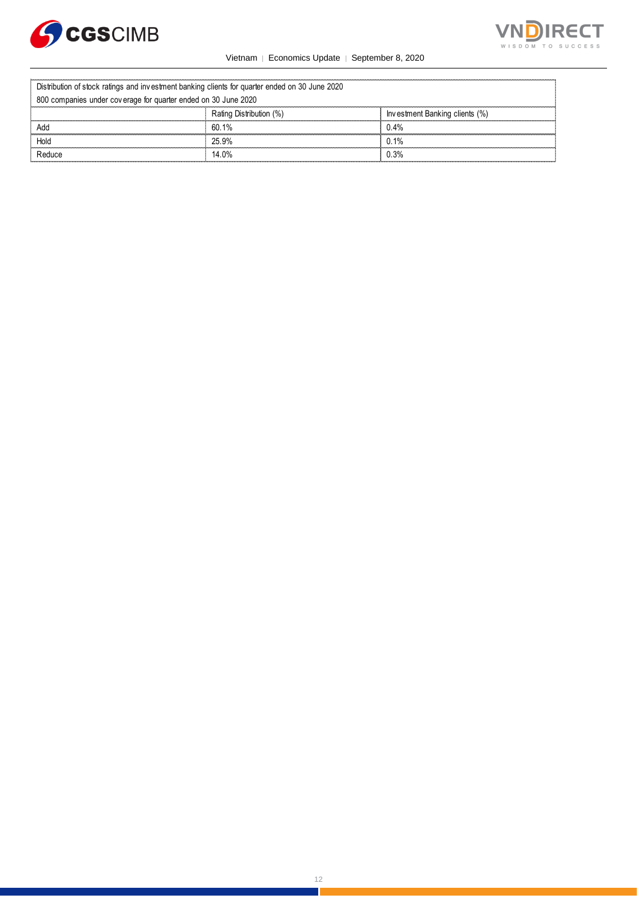



|                                                                                                | Vietnam   Economics Update   September 8, 2020 |                                |  |  |
|------------------------------------------------------------------------------------------------|------------------------------------------------|--------------------------------|--|--|
| Distribution of stock ratings and investment banking clients for quarter ended on 30 June 2020 |                                                |                                |  |  |
| 800 companies under coverage for quarter ended on 30 June 2020                                 |                                                |                                |  |  |
|                                                                                                | Rating Distribution (%)                        | Investment Banking clients (%) |  |  |
| Add                                                                                            | 60.1%                                          | 0.4%                           |  |  |
| Hold                                                                                           | 25.9%                                          | 0.1%                           |  |  |
| Reduce                                                                                         | 14.0%                                          | 0.3%                           |  |  |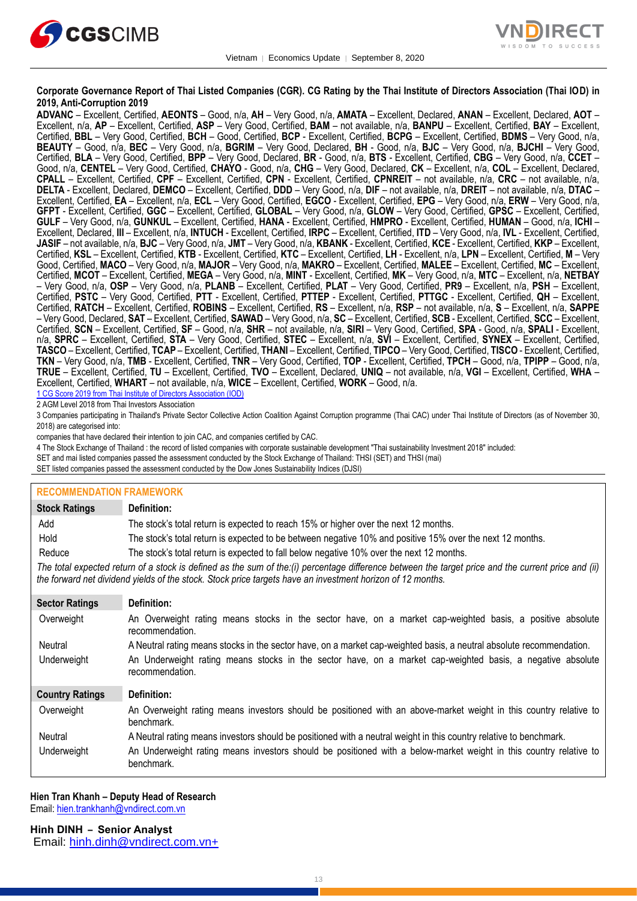



#### **Corporate Governance Report of Thai Listed Companies (CGR). CG Rating by the Thai Institute of Directors Association (Thai IOD) in 2019, Anti-Corruption 2019**

**ADVANC** – Excellent, Certified, **AEONTS** – Good, n/a, **AH** – Very Good, n/a, **AMATA** – Excellent, Declared, **ANAN** – Excellent, Declared, **AOT** – Excellent, n/a, **AP** – Excellent, Certified, **ASP** – Very Good, Certified, **BAM** – not available, n/a, **BANPU** – Excellent, Certified, **BAY** – Excellent, Certified, **BBL** – Very Good, Certified, **BCH** – Good, Certified, **BCP** - Excellent, Certified, **BCPG** – Excellent, Certified, **BDMS** – Very Good, n/a, **BEAUTY** – Good, n/a, **BEC** – Very Good, n/a, **BGRIM** – Very Good, Declared, **BH** - Good, n/a, **BJC** – Very Good, n/a, **BJCHI** – Very Good, Certified, **BLA** – Very Good, Certified, **BPP** – Very Good, Declared, **BR** - Good, n/a, **BTS** - Excellent, Certified, **CBG** – Very Good, n/a, **CCET** – Good, n/a, **CENTEL** – Very Good, Certified, **CHAYO** - Good, n/a, **CHG** – Very Good, Declared, **CK** – Excellent, n/a, **COL** – Excellent, Declared, **CPALL** – Excellent, Certified, **CPF** – Excellent, Certified, **CPN** - Excellent, Certified, **CPNREIT** – not available, n/a, **CRC** – not available, n/a, **DELTA** - Excellent, Declared, **DEMCO** – Excellent, Certified, **DDD** – Very Good, n/a, **DIF** – not available, n/a, **DREIT** – not available, n/a, **DTAC** – Excellent, Certified, **EA** – Excellent, n/a, **ECL** – Very Good, Certified, **EGCO** - Excellent, Certified, **EPG** – Very Good, n/a, **ERW** – Very Good, n/a, **GFPT** - Excellent, Certified, **GGC** – Excellent, Certified, **GLOBAL** – Very Good, n/a, **GLOW** – Very Good, Certified, **GPSC** – Excellent, Certified, **GULF** – Very Good, n/a, **GUNKUL** – Excellent, Certified, **HANA** - Excellent, Certified, **HMPRO** - Excellent, Certified, **HUMAN** – Good, n/a, **ICHI** – Excellent, Declared, **III** – Excellent, n/a, **INTUCH** - Excellent, Certified, **IRPC** – Excellent, Certified, **ITD** – Very Good, n/a, **IVL** - Excellent, Certified, **JASIF** – not available, n/a, **BJC** – Very Good, n/a, **JMT** – Very Good, n/a, **KBANK** - Excellent, Certified, **KCE** - Excellent, Certified, **KKP** – Excellent, Certified, **KSL** – Excellent, Certified, **KTB** - Excellent, Certified, **KTC** – Excellent, Certified, **LH** - Excellent, n/a, **LPN** – Excellent, Certified, **M** – Very Good, Certified, **MACO** – Very Good, n/a, **MAJOR** – Very Good, n/a, **MAKRO** – Excellent, Certified, **MALEE** – Excellent, Certified, **MC** – Excellent, Certified, **MCOT** – Excellent, Certified, **MEGA** – Very Good, n/a, **MINT** - Excellent, Certified, **MK** – Very Good, n/a, **MTC** – Excellent, n/a, **NETBAY** – Very Good, n/a, **OSP** – Very Good, n/a, **PLANB** – Excellent, Certified, **PLAT** – Very Good, Certified, **PR9** – Excellent, n/a, **PSH** – Excellent, Certified, **PSTC** – Very Good, Certified, **PTT** - Excellent, Certified, **PTTEP** - Excellent, Certified, **PTTGC** - Excellent, Certified, **QH** – Excellent, Certified, **RATCH** – Excellent, Certified, **ROBINS** – Excellent, Certified, **RS** – Excellent, n/a, **RSP** – not available, n/a, **S** – Excellent, n/a, **SAPPE** – Very Good, Declared, **SAT** – Excellent, Certified, **SAWAD** – Very Good, n/a, **SC** – Excellent, Certified, **SCB** - Excellent, Certified, **SCC** – Excellent, Certified, **SCN** – Excellent, Certified, **SF** – Good, n/a, **SHR** – not available, n/a, **SIRI** – Very Good, Certified, **SPA** - Good, n/a, **SPALI** - Excellent, n/a, **SPRC** – Excellent, Certified, **STA** – Very Good, Certified, **STEC** – Excellent, n/a, **SVI** – Excellent, Certified, **SYNEX** – Excellent, Certified, **TASCO** – Excellent, Certified, **TCAP** – Excellent, Certified, **THANI** – Excellent, Certified, **TIPCO** – Very Good, Certified, **TISCO** - Excellent, Certified, **TKN** – Very Good, n/a, **TMB** - Excellent, Certified, **TNR** – Very Good, Certified, **TOP** - Excellent, Certified, **TPCH** – Good, n/a, **TPIPP** – Good, n/a, **TRUE** – Excellent, Certified, **TU** – Excellent, Certified, **TVO** – Excellent, Declared, **UNIQ** – not available, n/a, **VGI** – Excellent, Certified, **WHA** – Excellent, Certified, **WHART** – not available, n/a, **WICE** – Excellent, Certified, **WORK** – Good, n/a.

1 CG Score 2019 from Thai Institute of Directors Association (IOD) 2 AGM Level 2018 from Thai Investors Association

3 Companies participating in Thailand's Private Sector Collective Action Coalition Against Corruption programme (Thai CAC) under Thai Institute of Directors (as of November 30, 2018) are categorised into:

companies that have declared their intention to join CAC, and companies certified by CAC.

- 4 [The Stock Exchange of Thailand : the record of listed companies with corporate sustainable development "Thai sustainability Investment 2018" included:](http://www.set.or.th/sustainable_dev/en/sr/sri/tsi_p1.html)
- SET and mai listed companies passed the assessment conducted by the Stock Exchange of Thailand: THSI (SET) and THSI (mai)

SET listed companies passed the assessment conducted by the Dow Jones Sustainability Indices (DJSI)

| <b>RECOMMENDATION FRAMEWORK</b>                                                                                                                                                                                                                                   |                                                                                                                                 |  |  |
|-------------------------------------------------------------------------------------------------------------------------------------------------------------------------------------------------------------------------------------------------------------------|---------------------------------------------------------------------------------------------------------------------------------|--|--|
| <b>Stock Ratings</b>                                                                                                                                                                                                                                              | Definition:                                                                                                                     |  |  |
| Add                                                                                                                                                                                                                                                               | The stock's total return is expected to reach 15% or higher over the next 12 months.                                            |  |  |
| Hold                                                                                                                                                                                                                                                              | The stock's total return is expected to be between negative 10% and positive 15% over the next 12 months.                       |  |  |
| Reduce                                                                                                                                                                                                                                                            | The stock's total return is expected to fall below negative 10% over the next 12 months.                                        |  |  |
| The total expected return of a stock is defined as the sum of the:(i) percentage difference between the target price and the current price and (ii)<br>the forward net dividend yields of the stock. Stock price targets have an investment horizon of 12 months. |                                                                                                                                 |  |  |
| <b>Sector Ratings</b>                                                                                                                                                                                                                                             | Definition:                                                                                                                     |  |  |
| Overweight                                                                                                                                                                                                                                                        | An Overweight rating means stocks in the sector have, on a market cap-weighted basis, a positive absolute<br>recommendation.    |  |  |
| Neutral                                                                                                                                                                                                                                                           | A Neutral rating means stocks in the sector have, on a market cap-weighted basis, a neutral absolute recommendation.            |  |  |
| Underweight                                                                                                                                                                                                                                                       | An Underweight rating means stocks in the sector have, on a market cap-weighted basis, a negative absolute<br>recommendation.   |  |  |
| <b>Country Ratings</b>                                                                                                                                                                                                                                            | Definition:                                                                                                                     |  |  |
| Overweight                                                                                                                                                                                                                                                        | An Overweight rating means investors should be positioned with an above-market weight in this country relative to<br>benchmark. |  |  |
| Neutral                                                                                                                                                                                                                                                           | A Neutral rating means investors should be positioned with a neutral weight in this country relative to benchmark.              |  |  |
| Underweight                                                                                                                                                                                                                                                       | An Underweight rating means investors should be positioned with a below-market weight in this country relative to<br>benchmark. |  |  |

#### **Hien Tran Khanh – Deputy Head of Research**

Email: [hien.trankhanh@vndirect.com.vn](mailto:hien.trankhanh@vndirect.com.vn)

**Hinh DINH – Senior Analyst**  Email: [hinh.dinh@vndirect.com.vn+](mailto:hinh.dinh@vndirect.com.vn)